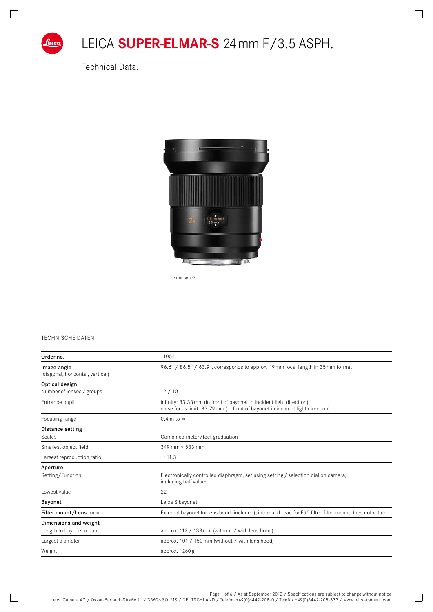

 $\Box$ 

# LEICA **Super-Elmar-S** 24mm f/3.5 ASPH.

٦

 $\qquad \qquad \Box$ 

Technical Data.



Illustration 1:2

#### Technische Daten

| Order no.                                       | 11054                                                                                                                                                  |  |  |  |  |
|-------------------------------------------------|--------------------------------------------------------------------------------------------------------------------------------------------------------|--|--|--|--|
| Image angle<br>(diagonal, horizontal, vertical) | 96.6° / 86.5° / 63.9°, corresponds to approx. 19 mm focal length in 35 mm format                                                                       |  |  |  |  |
| Optical design                                  |                                                                                                                                                        |  |  |  |  |
| Number of lenses / groups                       | 12/10                                                                                                                                                  |  |  |  |  |
| Entrance pupil                                  | infinity: 83.38 mm (in front of bayonet in incident light direction),<br>close focus limit: 83.79 mm (in front of bayonet in incident light direction) |  |  |  |  |
| Focusing range                                  | $0.4$ m to $\infty$                                                                                                                                    |  |  |  |  |
| Distance setting                                |                                                                                                                                                        |  |  |  |  |
| Scales                                          | Combined meter/feet graduation                                                                                                                         |  |  |  |  |
| Smallest object field                           | 349 mm × 533 mm                                                                                                                                        |  |  |  |  |
| Largest reproduction ratio                      | 1:11.3                                                                                                                                                 |  |  |  |  |
| Aperture                                        |                                                                                                                                                        |  |  |  |  |
| Setting/Function                                | Electronically controlled diaphragm, set using setting / selection dial on camera,<br>including half values                                            |  |  |  |  |
| Lowest value                                    | 22                                                                                                                                                     |  |  |  |  |
| Bayonet                                         | Leica S bayonet                                                                                                                                        |  |  |  |  |
| Filter mount/Lens hood                          | External bayonet for lens hood (included), internal thread for E95 filter, filter mount does not rotate                                                |  |  |  |  |
| Dimensions and weight                           |                                                                                                                                                        |  |  |  |  |
| Length to bayonet mount                         | approx. 112 / 138 mm (without / with lens hood)                                                                                                        |  |  |  |  |
| Largest diameter                                | approx. 101 / 150 mm (without / with lens hood)                                                                                                        |  |  |  |  |
| Weight                                          | approx. 1260 g                                                                                                                                         |  |  |  |  |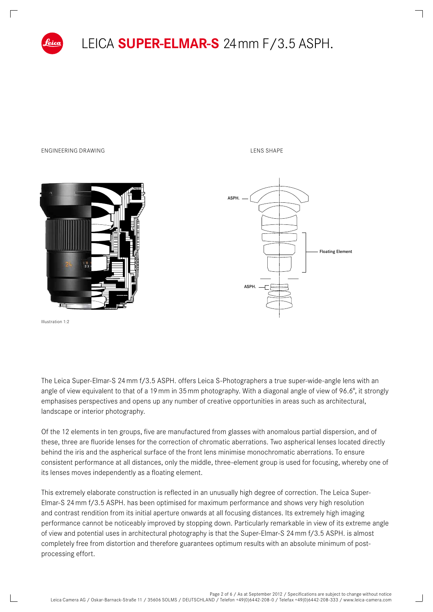

## LEICA **Super-Elmar-S** 24mm f/3.5 ASPH.

#### ENGINEERING DRAWING LEGEND CONTROL CONTROL CONTROL CONTROL CONTROL CONTROL CONTROL CONTROL CONTROL CONTROL CONTROL CONTROL CONTROL CONTROL CONTROL CONTROL CONTROL CONTROL CONTROL CONTROL CONTROL CONTROL CONTROL CONTROL CON

ASPH.

ASPH.

**Floating** Floating Element



Illustration 1:2

The Leica Super-Elmar-S 24mm f/3.5 ASPH. offers Leica S-Photographers a true super-wide-angle lens with an angle of view equivalent to that of a 19 mm in 35 mm photography. With a diagonal angle of view of 96.6°, it strongly emphasises perspectives and opens up any number of creative opportunities in areas such as architectural, landscape or interior photography.

Of the 12 elements in ten groups, five are manufactured from glasses with anomalous partial dispersion, and of these, three are fluoride lenses for the correction of chromatic aberrations. Two aspherical lenses located directly behind the iris and the aspherical surface of the front lens minimise monochromatic aberrations. To ensure consistent performance at all distances, only the middle, three-element group is used for focusing, whereby one of its lenses moves independently as a floating element.

This extremely elaborate construction is reflected in an unusually high degree of correction. The Leica Super-Elmar-S 24mm f/3.5 ASPH. has been optimised for maximum performance and shows very high resolution and contrast rendition from its initial aperture onwards at all focusing distances. Its extremely high imaging performance cannot be noticeably improved by stopping down. Particularly remarkable in view of its extreme angle of view and potential uses in architectural photography is that the Super-Elmar-S 24mm f/3.5 ASPH. is almost completely free from distortion and therefore guarantees optimum results with an absolute minimum of postprocessing effort.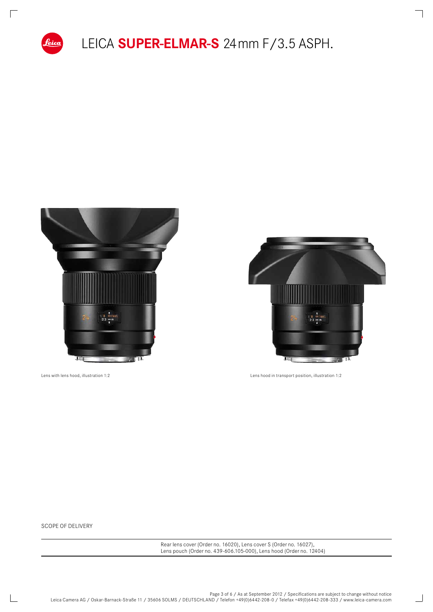



 $\qquad \qquad \Box$ 

 $\Box$ 

Lens with lens hood, illustration 1:2 Lens hood in transport position, illustration 1:2

Scope of delivery

Rear lens cover (Order no. 16020), Lens cover S (Order no. 16027), Lens pouch (Order no. 439-606.105-000), Lens hood (Order no. 12404)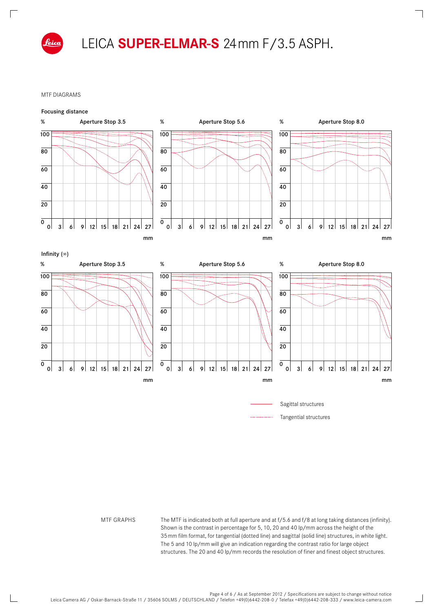

 $\sqrt{ }$ 

#### MTF diagrams



MTF GRAPHS The MTF is indicated both at full aperture and at f/5.6 and f/8 at long taking distances (infinity). Shown is the contrast in percentage for 5, 10, 20 and 40 lp/mm across the height of the 35mm film format, for tangential (dotted line) and sagittal (solid line) structures, in white light. The 5 and 10 lp/mm will give an indication regarding the contrast ratio for large object structures. The 20 and 40 lp/mm records the resolution of finer and finest object structures.

 $\Box$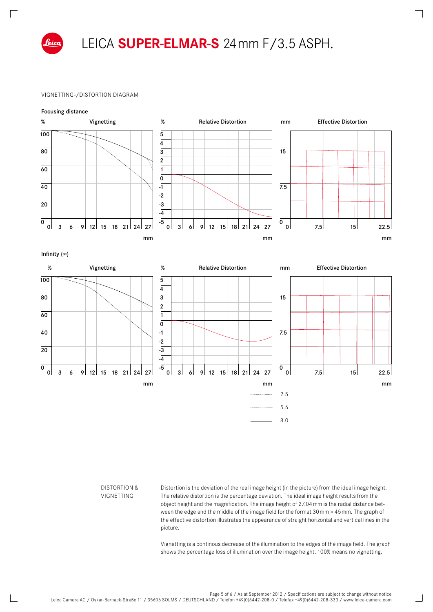

 $\sqrt{ }$ 

### LEICA **Super-Elmar-S** 24mm f/3.5 ASPH.

#### Vignetting-/Distortion diagram



#### Distortion & **VIGNETTING**

Distortion is the deviation of the real image height (in the picture) from the ideal image height. The relative distortion is the percentage deviation. The ideal image height results from the object height and the magnification. The image height of 27.04mm is the radial distance between the edge and the middle of the image field for the format 30mm × 45mm. The graph of the effective distortion illustrates the appearance of straight horizontal and vertical lines in the picture.

Vignetting is a continous decrease of the illumination to the edges of the image field. The graph shows the percentage loss of illumination over the image height. 100% means no vignetting.

 $\Box$